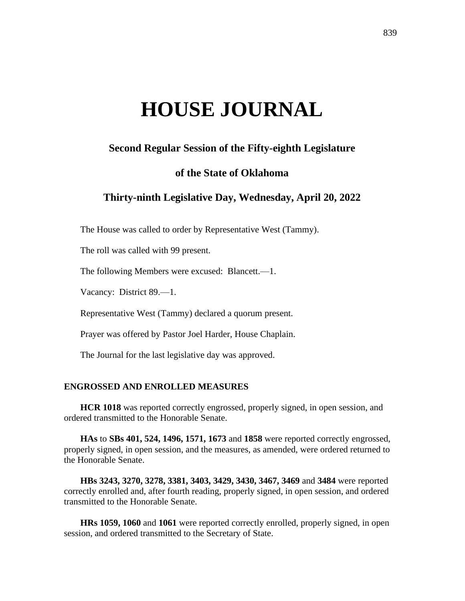# **HOUSE JOURNAL**

# **Second Regular Session of the Fifty-eighth Legislature**

# **of the State of Oklahoma**

# **Thirty-ninth Legislative Day, Wednesday, April 20, 2022**

The House was called to order by Representative West (Tammy).

The roll was called with 99 present.

The following Members were excused: Blancett.—1.

Vacancy: District 89.—1.

Representative West (Tammy) declared a quorum present.

Prayer was offered by Pastor Joel Harder, House Chaplain.

The Journal for the last legislative day was approved.

# **ENGROSSED AND ENROLLED MEASURES**

**HCR 1018** was reported correctly engrossed, properly signed, in open session, and ordered transmitted to the Honorable Senate.

**HAs** to **SBs 401, 524, 1496, 1571, 1673** and **1858** were reported correctly engrossed, properly signed, in open session, and the measures, as amended, were ordered returned to the Honorable Senate.

**HBs 3243, 3270, 3278, 3381, 3403, 3429, 3430, 3467, 3469** and **3484** were reported correctly enrolled and, after fourth reading, properly signed, in open session, and ordered transmitted to the Honorable Senate.

**HRs 1059, 1060** and **1061** were reported correctly enrolled, properly signed, in open session, and ordered transmitted to the Secretary of State.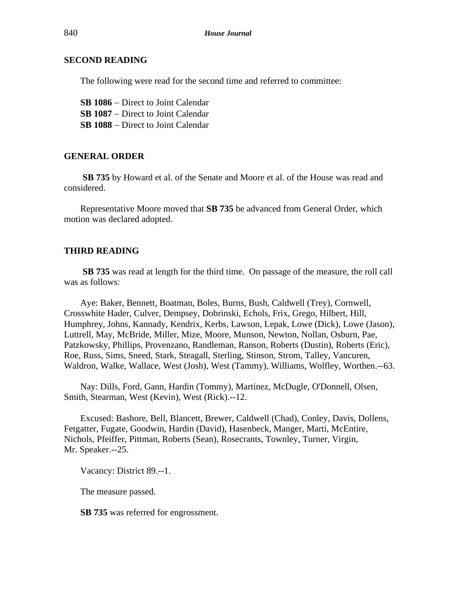# **SECOND READING**

The following were read for the second time and referred to committee:

**SB 1086** − Direct to Joint Calendar **SB 1087** − Direct to Joint Calendar **SB 1088** − Direct to Joint Calendar

# **GENERAL ORDER**

**SB 735** by Howard et al. of the Senate and Moore et al. of the House was read and considered.

Representative Moore moved that **SB 735** be advanced from General Order, which motion was declared adopted.

# **THIRD READING**

**SB 735** was read at length for the third time. On passage of the measure, the roll call was as follows:

Aye: Baker, Bennett, Boatman, Boles, Burns, Bush, Caldwell (Trey), Cornwell, Crosswhite Hader, Culver, Dempsey, Dobrinski, Echols, Frix, Grego, Hilbert, Hill, Humphrey, Johns, Kannady, Kendrix, Kerbs, Lawson, Lepak, Lowe (Dick), Lowe (Jason), Luttrell, May, McBride, Miller, Mize, Moore, Munson, Newton, Nollan, Osburn, Pae, Patzkowsky, Phillips, Provenzano, Randleman, Ranson, Roberts (Dustin), Roberts (Eric), Roe, Russ, Sims, Sneed, Stark, Steagall, Sterling, Stinson, Strom, Talley, Vancuren, Waldron, Walke, Wallace, West (Josh), West (Tammy), Williams, Wolfley, Worthen.--63.

Nay: Dills, Ford, Gann, Hardin (Tommy), Martinez, McDugle, O'Donnell, Olsen, Smith, Stearman, West (Kevin), West (Rick).--12.

Excused: Bashore, Bell, Blancett, Brewer, Caldwell (Chad), Conley, Davis, Dollens, Fetgatter, Fugate, Goodwin, Hardin (David), Hasenbeck, Manger, Marti, McEntire, Nichols, Pfeiffer, Pittman, Roberts (Sean), Rosecrants, Townley, Turner, Virgin, Mr. Speaker.--25.

Vacancy: District 89.--1.

The measure passed.

**SB 735** was referred for engrossment.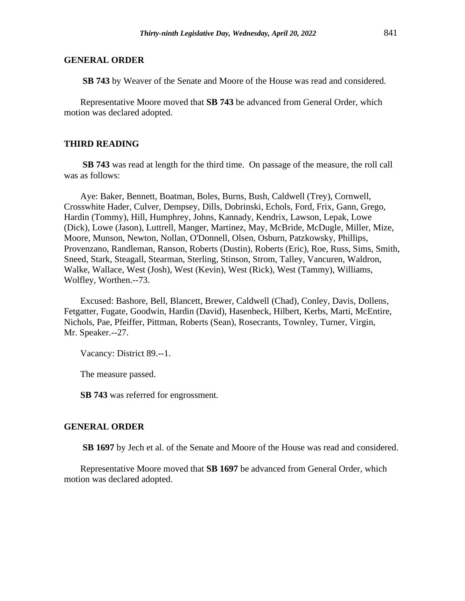## **GENERAL ORDER**

**SB 743** by Weaver of the Senate and Moore of the House was read and considered.

Representative Moore moved that **SB 743** be advanced from General Order, which motion was declared adopted.

# **THIRD READING**

**SB 743** was read at length for the third time. On passage of the measure, the roll call was as follows:

Aye: Baker, Bennett, Boatman, Boles, Burns, Bush, Caldwell (Trey), Cornwell, Crosswhite Hader, Culver, Dempsey, Dills, Dobrinski, Echols, Ford, Frix, Gann, Grego, Hardin (Tommy), Hill, Humphrey, Johns, Kannady, Kendrix, Lawson, Lepak, Lowe (Dick), Lowe (Jason), Luttrell, Manger, Martinez, May, McBride, McDugle, Miller, Mize, Moore, Munson, Newton, Nollan, O'Donnell, Olsen, Osburn, Patzkowsky, Phillips, Provenzano, Randleman, Ranson, Roberts (Dustin), Roberts (Eric), Roe, Russ, Sims, Smith, Sneed, Stark, Steagall, Stearman, Sterling, Stinson, Strom, Talley, Vancuren, Waldron, Walke, Wallace, West (Josh), West (Kevin), West (Rick), West (Tammy), Williams, Wolfley, Worthen.--73.

Excused: Bashore, Bell, Blancett, Brewer, Caldwell (Chad), Conley, Davis, Dollens, Fetgatter, Fugate, Goodwin, Hardin (David), Hasenbeck, Hilbert, Kerbs, Marti, McEntire, Nichols, Pae, Pfeiffer, Pittman, Roberts (Sean), Rosecrants, Townley, Turner, Virgin, Mr. Speaker.--27.

Vacancy: District 89.--1.

The measure passed.

**SB 743** was referred for engrossment.

#### **GENERAL ORDER**

**SB 1697** by Jech et al. of the Senate and Moore of the House was read and considered.

Representative Moore moved that **SB 1697** be advanced from General Order, which motion was declared adopted.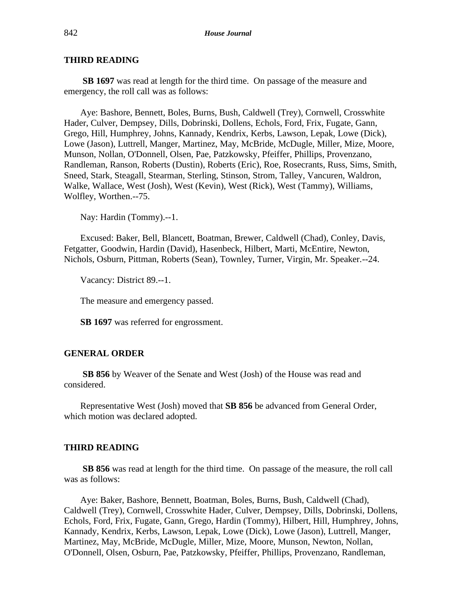**SB 1697** was read at length for the third time. On passage of the measure and emergency, the roll call was as follows:

Aye: Bashore, Bennett, Boles, Burns, Bush, Caldwell (Trey), Cornwell, Crosswhite Hader, Culver, Dempsey, Dills, Dobrinski, Dollens, Echols, Ford, Frix, Fugate, Gann, Grego, Hill, Humphrey, Johns, Kannady, Kendrix, Kerbs, Lawson, Lepak, Lowe (Dick), Lowe (Jason), Luttrell, Manger, Martinez, May, McBride, McDugle, Miller, Mize, Moore, Munson, Nollan, O'Donnell, Olsen, Pae, Patzkowsky, Pfeiffer, Phillips, Provenzano, Randleman, Ranson, Roberts (Dustin), Roberts (Eric), Roe, Rosecrants, Russ, Sims, Smith, Sneed, Stark, Steagall, Stearman, Sterling, Stinson, Strom, Talley, Vancuren, Waldron, Walke, Wallace, West (Josh), West (Kevin), West (Rick), West (Tammy), Williams, Wolfley, Worthen.--75.

Nay: Hardin (Tommy).--1.

Excused: Baker, Bell, Blancett, Boatman, Brewer, Caldwell (Chad), Conley, Davis, Fetgatter, Goodwin, Hardin (David), Hasenbeck, Hilbert, Marti, McEntire, Newton, Nichols, Osburn, Pittman, Roberts (Sean), Townley, Turner, Virgin, Mr. Speaker.--24.

Vacancy: District 89.--1.

The measure and emergency passed.

**SB 1697** was referred for engrossment.

# **GENERAL ORDER**

**SB 856** by Weaver of the Senate and West (Josh) of the House was read and considered.

Representative West (Josh) moved that **SB 856** be advanced from General Order, which motion was declared adopted.

# **THIRD READING**

**SB 856** was read at length for the third time. On passage of the measure, the roll call was as follows:

Aye: Baker, Bashore, Bennett, Boatman, Boles, Burns, Bush, Caldwell (Chad), Caldwell (Trey), Cornwell, Crosswhite Hader, Culver, Dempsey, Dills, Dobrinski, Dollens, Echols, Ford, Frix, Fugate, Gann, Grego, Hardin (Tommy), Hilbert, Hill, Humphrey, Johns, Kannady, Kendrix, Kerbs, Lawson, Lepak, Lowe (Dick), Lowe (Jason), Luttrell, Manger, Martinez, May, McBride, McDugle, Miller, Mize, Moore, Munson, Newton, Nollan, O'Donnell, Olsen, Osburn, Pae, Patzkowsky, Pfeiffer, Phillips, Provenzano, Randleman,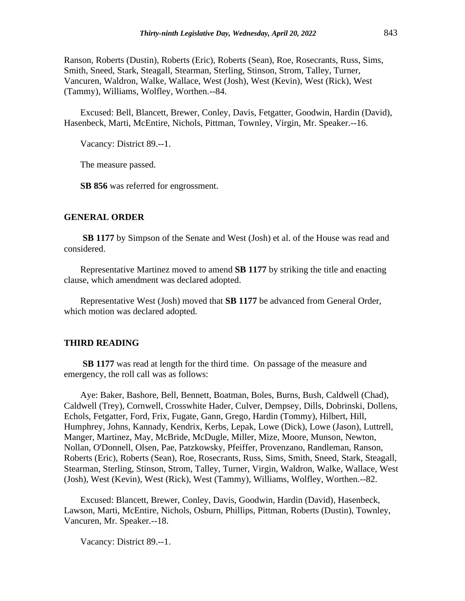Ranson, Roberts (Dustin), Roberts (Eric), Roberts (Sean), Roe, Rosecrants, Russ, Sims, Smith, Sneed, Stark, Steagall, Stearman, Sterling, Stinson, Strom, Talley, Turner, Vancuren, Waldron, Walke, Wallace, West (Josh), West (Kevin), West (Rick), West (Tammy), Williams, Wolfley, Worthen.--84.

Excused: Bell, Blancett, Brewer, Conley, Davis, Fetgatter, Goodwin, Hardin (David), Hasenbeck, Marti, McEntire, Nichols, Pittman, Townley, Virgin, Mr. Speaker.--16.

Vacancy: District 89.--1.

The measure passed.

**SB 856** was referred for engrossment.

# **GENERAL ORDER**

**SB 1177** by Simpson of the Senate and West (Josh) et al. of the House was read and considered.

Representative Martinez moved to amend **SB 1177** by striking the title and enacting clause, which amendment was declared adopted.

Representative West (Josh) moved that **SB 1177** be advanced from General Order, which motion was declared adopted.

# **THIRD READING**

**SB 1177** was read at length for the third time. On passage of the measure and emergency, the roll call was as follows:

Aye: Baker, Bashore, Bell, Bennett, Boatman, Boles, Burns, Bush, Caldwell (Chad), Caldwell (Trey), Cornwell, Crosswhite Hader, Culver, Dempsey, Dills, Dobrinski, Dollens, Echols, Fetgatter, Ford, Frix, Fugate, Gann, Grego, Hardin (Tommy), Hilbert, Hill, Humphrey, Johns, Kannady, Kendrix, Kerbs, Lepak, Lowe (Dick), Lowe (Jason), Luttrell, Manger, Martinez, May, McBride, McDugle, Miller, Mize, Moore, Munson, Newton, Nollan, O'Donnell, Olsen, Pae, Patzkowsky, Pfeiffer, Provenzano, Randleman, Ranson, Roberts (Eric), Roberts (Sean), Roe, Rosecrants, Russ, Sims, Smith, Sneed, Stark, Steagall, Stearman, Sterling, Stinson, Strom, Talley, Turner, Virgin, Waldron, Walke, Wallace, West (Josh), West (Kevin), West (Rick), West (Tammy), Williams, Wolfley, Worthen.--82.

Excused: Blancett, Brewer, Conley, Davis, Goodwin, Hardin (David), Hasenbeck, Lawson, Marti, McEntire, Nichols, Osburn, Phillips, Pittman, Roberts (Dustin), Townley, Vancuren, Mr. Speaker.--18.

Vacancy: District 89.--1.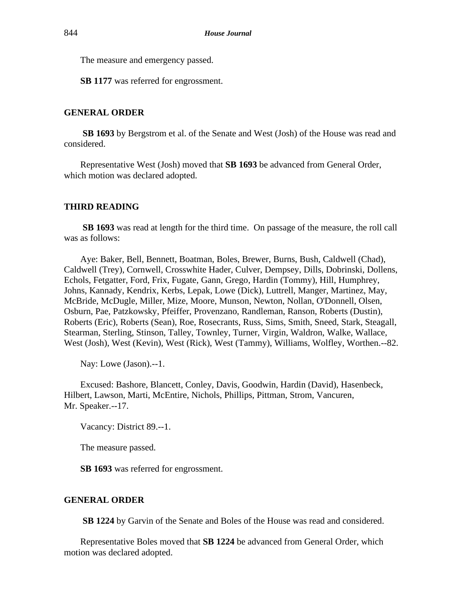The measure and emergency passed.

**SB 1177** was referred for engrossment.

# **GENERAL ORDER**

**SB 1693** by Bergstrom et al. of the Senate and West (Josh) of the House was read and considered.

Representative West (Josh) moved that **SB 1693** be advanced from General Order, which motion was declared adopted.

# **THIRD READING**

**SB 1693** was read at length for the third time. On passage of the measure, the roll call was as follows:

Aye: Baker, Bell, Bennett, Boatman, Boles, Brewer, Burns, Bush, Caldwell (Chad), Caldwell (Trey), Cornwell, Crosswhite Hader, Culver, Dempsey, Dills, Dobrinski, Dollens, Echols, Fetgatter, Ford, Frix, Fugate, Gann, Grego, Hardin (Tommy), Hill, Humphrey, Johns, Kannady, Kendrix, Kerbs, Lepak, Lowe (Dick), Luttrell, Manger, Martinez, May, McBride, McDugle, Miller, Mize, Moore, Munson, Newton, Nollan, O'Donnell, Olsen, Osburn, Pae, Patzkowsky, Pfeiffer, Provenzano, Randleman, Ranson, Roberts (Dustin), Roberts (Eric), Roberts (Sean), Roe, Rosecrants, Russ, Sims, Smith, Sneed, Stark, Steagall, Stearman, Sterling, Stinson, Talley, Townley, Turner, Virgin, Waldron, Walke, Wallace, West (Josh), West (Kevin), West (Rick), West (Tammy), Williams, Wolfley, Worthen.--82.

Nay: Lowe (Jason).--1.

Excused: Bashore, Blancett, Conley, Davis, Goodwin, Hardin (David), Hasenbeck, Hilbert, Lawson, Marti, McEntire, Nichols, Phillips, Pittman, Strom, Vancuren, Mr. Speaker.--17.

Vacancy: District 89.--1.

The measure passed.

**SB 1693** was referred for engrossment.

# **GENERAL ORDER**

**SB 1224** by Garvin of the Senate and Boles of the House was read and considered.

Representative Boles moved that **SB 1224** be advanced from General Order, which motion was declared adopted.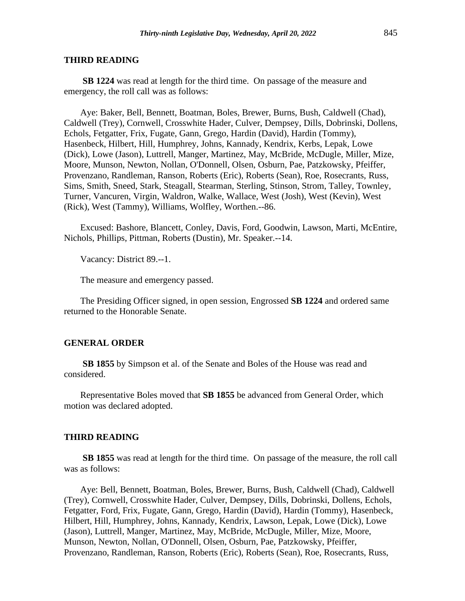**SB 1224** was read at length for the third time. On passage of the measure and emergency, the roll call was as follows:

Aye: Baker, Bell, Bennett, Boatman, Boles, Brewer, Burns, Bush, Caldwell (Chad), Caldwell (Trey), Cornwell, Crosswhite Hader, Culver, Dempsey, Dills, Dobrinski, Dollens, Echols, Fetgatter, Frix, Fugate, Gann, Grego, Hardin (David), Hardin (Tommy), Hasenbeck, Hilbert, Hill, Humphrey, Johns, Kannady, Kendrix, Kerbs, Lepak, Lowe (Dick), Lowe (Jason), Luttrell, Manger, Martinez, May, McBride, McDugle, Miller, Mize, Moore, Munson, Newton, Nollan, O'Donnell, Olsen, Osburn, Pae, Patzkowsky, Pfeiffer, Provenzano, Randleman, Ranson, Roberts (Eric), Roberts (Sean), Roe, Rosecrants, Russ, Sims, Smith, Sneed, Stark, Steagall, Stearman, Sterling, Stinson, Strom, Talley, Townley, Turner, Vancuren, Virgin, Waldron, Walke, Wallace, West (Josh), West (Kevin), West (Rick), West (Tammy), Williams, Wolfley, Worthen.--86.

Excused: Bashore, Blancett, Conley, Davis, Ford, Goodwin, Lawson, Marti, McEntire, Nichols, Phillips, Pittman, Roberts (Dustin), Mr. Speaker.--14.

Vacancy: District 89.--1.

The measure and emergency passed.

The Presiding Officer signed, in open session, Engrossed **SB 1224** and ordered same returned to the Honorable Senate.

#### **GENERAL ORDER**

**SB 1855** by Simpson et al. of the Senate and Boles of the House was read and considered.

Representative Boles moved that **SB 1855** be advanced from General Order, which motion was declared adopted.

#### **THIRD READING**

**SB 1855** was read at length for the third time. On passage of the measure, the roll call was as follows:

Aye: Bell, Bennett, Boatman, Boles, Brewer, Burns, Bush, Caldwell (Chad), Caldwell (Trey), Cornwell, Crosswhite Hader, Culver, Dempsey, Dills, Dobrinski, Dollens, Echols, Fetgatter, Ford, Frix, Fugate, Gann, Grego, Hardin (David), Hardin (Tommy), Hasenbeck, Hilbert, Hill, Humphrey, Johns, Kannady, Kendrix, Lawson, Lepak, Lowe (Dick), Lowe (Jason), Luttrell, Manger, Martinez, May, McBride, McDugle, Miller, Mize, Moore, Munson, Newton, Nollan, O'Donnell, Olsen, Osburn, Pae, Patzkowsky, Pfeiffer, Provenzano, Randleman, Ranson, Roberts (Eric), Roberts (Sean), Roe, Rosecrants, Russ,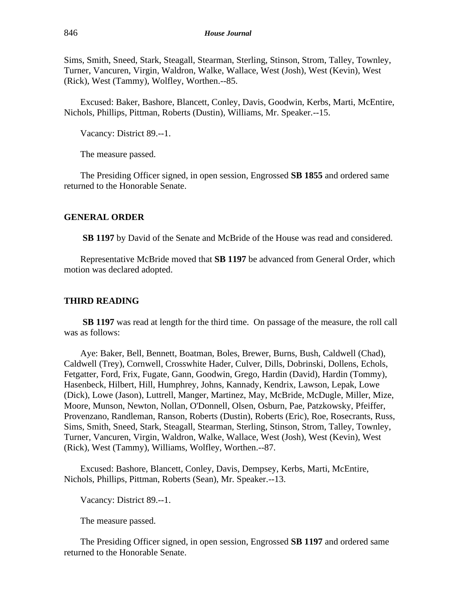Sims, Smith, Sneed, Stark, Steagall, Stearman, Sterling, Stinson, Strom, Talley, Townley, Turner, Vancuren, Virgin, Waldron, Walke, Wallace, West (Josh), West (Kevin), West (Rick), West (Tammy), Wolfley, Worthen.--85.

Excused: Baker, Bashore, Blancett, Conley, Davis, Goodwin, Kerbs, Marti, McEntire, Nichols, Phillips, Pittman, Roberts (Dustin), Williams, Mr. Speaker.--15.

Vacancy: District 89.--1.

The measure passed.

The Presiding Officer signed, in open session, Engrossed **SB 1855** and ordered same returned to the Honorable Senate.

# **GENERAL ORDER**

**SB 1197** by David of the Senate and McBride of the House was read and considered.

Representative McBride moved that **SB 1197** be advanced from General Order, which motion was declared adopted.

# **THIRD READING**

**SB 1197** was read at length for the third time. On passage of the measure, the roll call was as follows:

Aye: Baker, Bell, Bennett, Boatman, Boles, Brewer, Burns, Bush, Caldwell (Chad), Caldwell (Trey), Cornwell, Crosswhite Hader, Culver, Dills, Dobrinski, Dollens, Echols, Fetgatter, Ford, Frix, Fugate, Gann, Goodwin, Grego, Hardin (David), Hardin (Tommy), Hasenbeck, Hilbert, Hill, Humphrey, Johns, Kannady, Kendrix, Lawson, Lepak, Lowe (Dick), Lowe (Jason), Luttrell, Manger, Martinez, May, McBride, McDugle, Miller, Mize, Moore, Munson, Newton, Nollan, O'Donnell, Olsen, Osburn, Pae, Patzkowsky, Pfeiffer, Provenzano, Randleman, Ranson, Roberts (Dustin), Roberts (Eric), Roe, Rosecrants, Russ, Sims, Smith, Sneed, Stark, Steagall, Stearman, Sterling, Stinson, Strom, Talley, Townley, Turner, Vancuren, Virgin, Waldron, Walke, Wallace, West (Josh), West (Kevin), West (Rick), West (Tammy), Williams, Wolfley, Worthen.--87.

Excused: Bashore, Blancett, Conley, Davis, Dempsey, Kerbs, Marti, McEntire, Nichols, Phillips, Pittman, Roberts (Sean), Mr. Speaker.--13.

Vacancy: District 89.--1.

The measure passed.

The Presiding Officer signed, in open session, Engrossed **SB 1197** and ordered same returned to the Honorable Senate.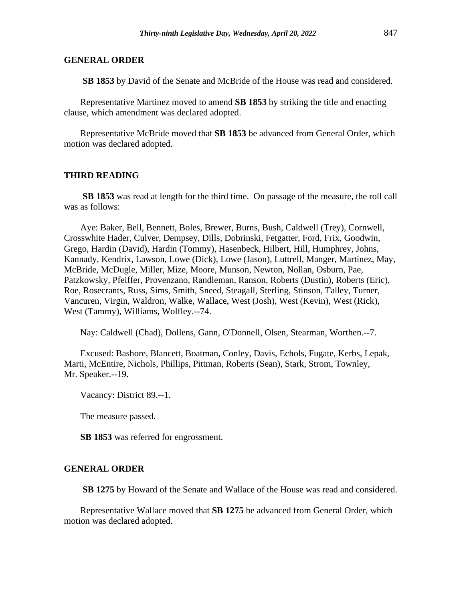## **GENERAL ORDER**

**SB 1853** by David of the Senate and McBride of the House was read and considered.

Representative Martinez moved to amend **SB 1853** by striking the title and enacting clause, which amendment was declared adopted.

Representative McBride moved that **SB 1853** be advanced from General Order, which motion was declared adopted.

## **THIRD READING**

**SB 1853** was read at length for the third time. On passage of the measure, the roll call was as follows:

Aye: Baker, Bell, Bennett, Boles, Brewer, Burns, Bush, Caldwell (Trey), Cornwell, Crosswhite Hader, Culver, Dempsey, Dills, Dobrinski, Fetgatter, Ford, Frix, Goodwin, Grego, Hardin (David), Hardin (Tommy), Hasenbeck, Hilbert, Hill, Humphrey, Johns, Kannady, Kendrix, Lawson, Lowe (Dick), Lowe (Jason), Luttrell, Manger, Martinez, May, McBride, McDugle, Miller, Mize, Moore, Munson, Newton, Nollan, Osburn, Pae, Patzkowsky, Pfeiffer, Provenzano, Randleman, Ranson, Roberts (Dustin), Roberts (Eric), Roe, Rosecrants, Russ, Sims, Smith, Sneed, Steagall, Sterling, Stinson, Talley, Turner, Vancuren, Virgin, Waldron, Walke, Wallace, West (Josh), West (Kevin), West (Rick), West (Tammy), Williams, Wolfley.--74.

Nay: Caldwell (Chad), Dollens, Gann, O'Donnell, Olsen, Stearman, Worthen.--7.

Excused: Bashore, Blancett, Boatman, Conley, Davis, Echols, Fugate, Kerbs, Lepak, Marti, McEntire, Nichols, Phillips, Pittman, Roberts (Sean), Stark, Strom, Townley, Mr. Speaker.--19.

Vacancy: District 89.--1.

The measure passed.

**SB 1853** was referred for engrossment.

# **GENERAL ORDER**

**SB 1275** by Howard of the Senate and Wallace of the House was read and considered.

Representative Wallace moved that **SB 1275** be advanced from General Order, which motion was declared adopted.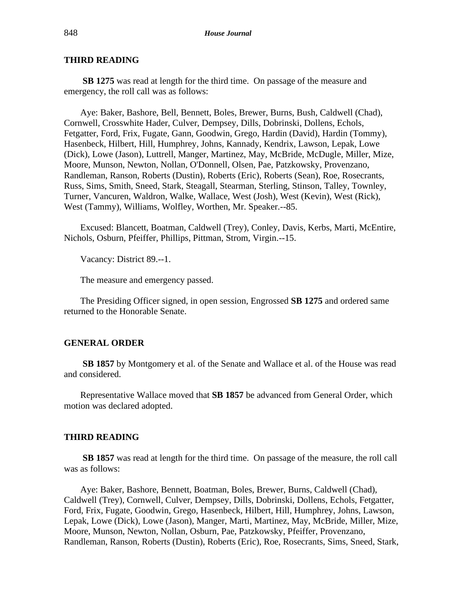**SB 1275** was read at length for the third time. On passage of the measure and emergency, the roll call was as follows:

Aye: Baker, Bashore, Bell, Bennett, Boles, Brewer, Burns, Bush, Caldwell (Chad), Cornwell, Crosswhite Hader, Culver, Dempsey, Dills, Dobrinski, Dollens, Echols, Fetgatter, Ford, Frix, Fugate, Gann, Goodwin, Grego, Hardin (David), Hardin (Tommy), Hasenbeck, Hilbert, Hill, Humphrey, Johns, Kannady, Kendrix, Lawson, Lepak, Lowe (Dick), Lowe (Jason), Luttrell, Manger, Martinez, May, McBride, McDugle, Miller, Mize, Moore, Munson, Newton, Nollan, O'Donnell, Olsen, Pae, Patzkowsky, Provenzano, Randleman, Ranson, Roberts (Dustin), Roberts (Eric), Roberts (Sean), Roe, Rosecrants, Russ, Sims, Smith, Sneed, Stark, Steagall, Stearman, Sterling, Stinson, Talley, Townley, Turner, Vancuren, Waldron, Walke, Wallace, West (Josh), West (Kevin), West (Rick), West (Tammy), Williams, Wolfley, Worthen, Mr. Speaker.--85.

Excused: Blancett, Boatman, Caldwell (Trey), Conley, Davis, Kerbs, Marti, McEntire, Nichols, Osburn, Pfeiffer, Phillips, Pittman, Strom, Virgin.--15.

Vacancy: District 89.--1.

The measure and emergency passed.

The Presiding Officer signed, in open session, Engrossed **SB 1275** and ordered same returned to the Honorable Senate.

# **GENERAL ORDER**

**SB 1857** by Montgomery et al. of the Senate and Wallace et al. of the House was read and considered.

Representative Wallace moved that **SB 1857** be advanced from General Order, which motion was declared adopted.

#### **THIRD READING**

**SB 1857** was read at length for the third time. On passage of the measure, the roll call was as follows:

Aye: Baker, Bashore, Bennett, Boatman, Boles, Brewer, Burns, Caldwell (Chad), Caldwell (Trey), Cornwell, Culver, Dempsey, Dills, Dobrinski, Dollens, Echols, Fetgatter, Ford, Frix, Fugate, Goodwin, Grego, Hasenbeck, Hilbert, Hill, Humphrey, Johns, Lawson, Lepak, Lowe (Dick), Lowe (Jason), Manger, Marti, Martinez, May, McBride, Miller, Mize, Moore, Munson, Newton, Nollan, Osburn, Pae, Patzkowsky, Pfeiffer, Provenzano, Randleman, Ranson, Roberts (Dustin), Roberts (Eric), Roe, Rosecrants, Sims, Sneed, Stark,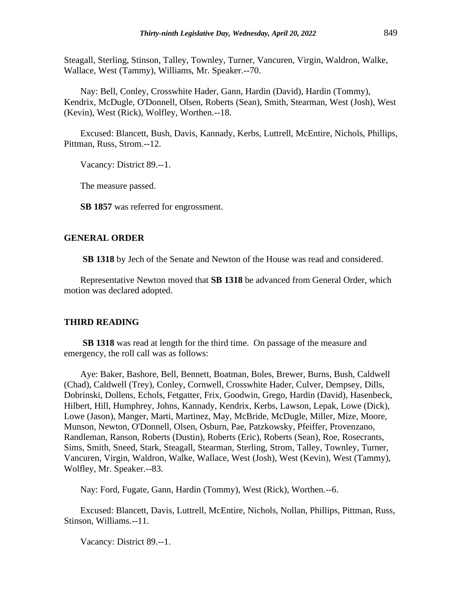Steagall, Sterling, Stinson, Talley, Townley, Turner, Vancuren, Virgin, Waldron, Walke, Wallace, West (Tammy), Williams, Mr. Speaker.--70.

Nay: Bell, Conley, Crosswhite Hader, Gann, Hardin (David), Hardin (Tommy), Kendrix, McDugle, O'Donnell, Olsen, Roberts (Sean), Smith, Stearman, West (Josh), West (Kevin), West (Rick), Wolfley, Worthen.--18.

Excused: Blancett, Bush, Davis, Kannady, Kerbs, Luttrell, McEntire, Nichols, Phillips, Pittman, Russ, Strom.--12.

Vacancy: District 89.--1.

The measure passed.

**SB 1857** was referred for engrossment.

# **GENERAL ORDER**

**SB 1318** by Jech of the Senate and Newton of the House was read and considered.

Representative Newton moved that **SB 1318** be advanced from General Order, which motion was declared adopted.

## **THIRD READING**

**SB 1318** was read at length for the third time. On passage of the measure and emergency, the roll call was as follows:

Aye: Baker, Bashore, Bell, Bennett, Boatman, Boles, Brewer, Burns, Bush, Caldwell (Chad), Caldwell (Trey), Conley, Cornwell, Crosswhite Hader, Culver, Dempsey, Dills, Dobrinski, Dollens, Echols, Fetgatter, Frix, Goodwin, Grego, Hardin (David), Hasenbeck, Hilbert, Hill, Humphrey, Johns, Kannady, Kendrix, Kerbs, Lawson, Lepak, Lowe (Dick), Lowe (Jason), Manger, Marti, Martinez, May, McBride, McDugle, Miller, Mize, Moore, Munson, Newton, O'Donnell, Olsen, Osburn, Pae, Patzkowsky, Pfeiffer, Provenzano, Randleman, Ranson, Roberts (Dustin), Roberts (Eric), Roberts (Sean), Roe, Rosecrants, Sims, Smith, Sneed, Stark, Steagall, Stearman, Sterling, Strom, Talley, Townley, Turner, Vancuren, Virgin, Waldron, Walke, Wallace, West (Josh), West (Kevin), West (Tammy), Wolfley, Mr. Speaker.--83.

Nay: Ford, Fugate, Gann, Hardin (Tommy), West (Rick), Worthen.--6.

Excused: Blancett, Davis, Luttrell, McEntire, Nichols, Nollan, Phillips, Pittman, Russ, Stinson, Williams.--11.

Vacancy: District 89.--1.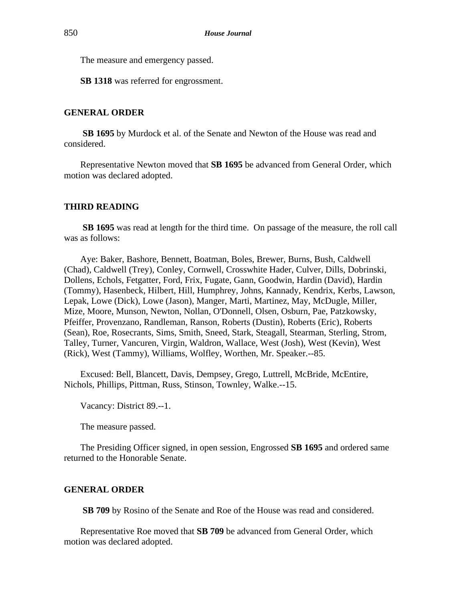The measure and emergency passed.

**SB 1318** was referred for engrossment.

# **GENERAL ORDER**

**SB 1695** by Murdock et al. of the Senate and Newton of the House was read and considered.

Representative Newton moved that **SB 1695** be advanced from General Order, which motion was declared adopted.

# **THIRD READING**

**SB 1695** was read at length for the third time. On passage of the measure, the roll call was as follows:

Aye: Baker, Bashore, Bennett, Boatman, Boles, Brewer, Burns, Bush, Caldwell (Chad), Caldwell (Trey), Conley, Cornwell, Crosswhite Hader, Culver, Dills, Dobrinski, Dollens, Echols, Fetgatter, Ford, Frix, Fugate, Gann, Goodwin, Hardin (David), Hardin (Tommy), Hasenbeck, Hilbert, Hill, Humphrey, Johns, Kannady, Kendrix, Kerbs, Lawson, Lepak, Lowe (Dick), Lowe (Jason), Manger, Marti, Martinez, May, McDugle, Miller, Mize, Moore, Munson, Newton, Nollan, O'Donnell, Olsen, Osburn, Pae, Patzkowsky, Pfeiffer, Provenzano, Randleman, Ranson, Roberts (Dustin), Roberts (Eric), Roberts (Sean), Roe, Rosecrants, Sims, Smith, Sneed, Stark, Steagall, Stearman, Sterling, Strom, Talley, Turner, Vancuren, Virgin, Waldron, Wallace, West (Josh), West (Kevin), West (Rick), West (Tammy), Williams, Wolfley, Worthen, Mr. Speaker.--85.

Excused: Bell, Blancett, Davis, Dempsey, Grego, Luttrell, McBride, McEntire, Nichols, Phillips, Pittman, Russ, Stinson, Townley, Walke.--15.

Vacancy: District 89.--1.

The measure passed.

The Presiding Officer signed, in open session, Engrossed **SB 1695** and ordered same returned to the Honorable Senate.

## **GENERAL ORDER**

**SB 709** by Rosino of the Senate and Roe of the House was read and considered.

Representative Roe moved that **SB 709** be advanced from General Order, which motion was declared adopted.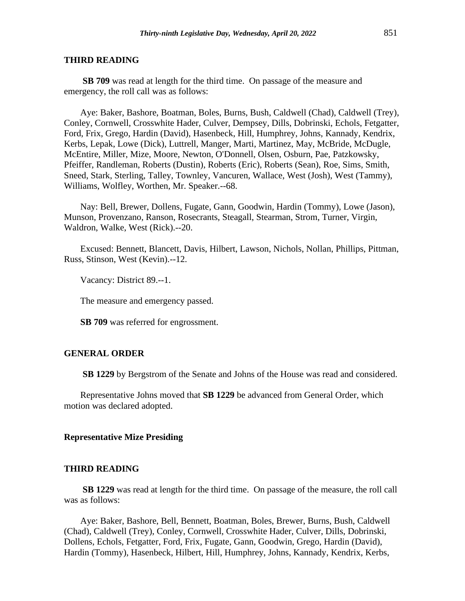**SB 709** was read at length for the third time. On passage of the measure and emergency, the roll call was as follows:

Aye: Baker, Bashore, Boatman, Boles, Burns, Bush, Caldwell (Chad), Caldwell (Trey), Conley, Cornwell, Crosswhite Hader, Culver, Dempsey, Dills, Dobrinski, Echols, Fetgatter, Ford, Frix, Grego, Hardin (David), Hasenbeck, Hill, Humphrey, Johns, Kannady, Kendrix, Kerbs, Lepak, Lowe (Dick), Luttrell, Manger, Marti, Martinez, May, McBride, McDugle, McEntire, Miller, Mize, Moore, Newton, O'Donnell, Olsen, Osburn, Pae, Patzkowsky, Pfeiffer, Randleman, Roberts (Dustin), Roberts (Eric), Roberts (Sean), Roe, Sims, Smith, Sneed, Stark, Sterling, Talley, Townley, Vancuren, Wallace, West (Josh), West (Tammy), Williams, Wolfley, Worthen, Mr. Speaker.--68.

Nay: Bell, Brewer, Dollens, Fugate, Gann, Goodwin, Hardin (Tommy), Lowe (Jason), Munson, Provenzano, Ranson, Rosecrants, Steagall, Stearman, Strom, Turner, Virgin, Waldron, Walke, West (Rick).--20.

Excused: Bennett, Blancett, Davis, Hilbert, Lawson, Nichols, Nollan, Phillips, Pittman, Russ, Stinson, West (Kevin).--12.

Vacancy: District 89.--1.

The measure and emergency passed.

**SB 709** was referred for engrossment.

# **GENERAL ORDER**

**SB 1229** by Bergstrom of the Senate and Johns of the House was read and considered.

Representative Johns moved that **SB 1229** be advanced from General Order, which motion was declared adopted.

#### **Representative Mize Presiding**

## **THIRD READING**

**SB 1229** was read at length for the third time. On passage of the measure, the roll call was as follows:

Aye: Baker, Bashore, Bell, Bennett, Boatman, Boles, Brewer, Burns, Bush, Caldwell (Chad), Caldwell (Trey), Conley, Cornwell, Crosswhite Hader, Culver, Dills, Dobrinski, Dollens, Echols, Fetgatter, Ford, Frix, Fugate, Gann, Goodwin, Grego, Hardin (David), Hardin (Tommy), Hasenbeck, Hilbert, Hill, Humphrey, Johns, Kannady, Kendrix, Kerbs,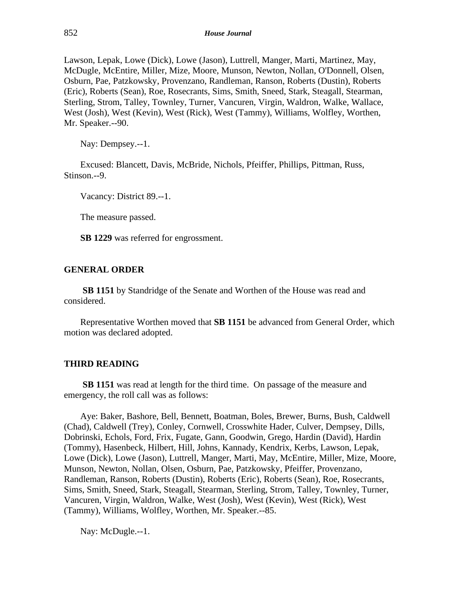Lawson, Lepak, Lowe (Dick), Lowe (Jason), Luttrell, Manger, Marti, Martinez, May, McDugle, McEntire, Miller, Mize, Moore, Munson, Newton, Nollan, O'Donnell, Olsen, Osburn, Pae, Patzkowsky, Provenzano, Randleman, Ranson, Roberts (Dustin), Roberts (Eric), Roberts (Sean), Roe, Rosecrants, Sims, Smith, Sneed, Stark, Steagall, Stearman, Sterling, Strom, Talley, Townley, Turner, Vancuren, Virgin, Waldron, Walke, Wallace, West (Josh), West (Kevin), West (Rick), West (Tammy), Williams, Wolfley, Worthen, Mr. Speaker.--90.

Nay: Dempsey.--1.

Excused: Blancett, Davis, McBride, Nichols, Pfeiffer, Phillips, Pittman, Russ, Stinson.--9.

Vacancy: District 89.--1.

The measure passed.

**SB 1229** was referred for engrossment.

# **GENERAL ORDER**

**SB 1151** by Standridge of the Senate and Worthen of the House was read and considered.

Representative Worthen moved that **SB 1151** be advanced from General Order, which motion was declared adopted.

# **THIRD READING**

**SB 1151** was read at length for the third time. On passage of the measure and emergency, the roll call was as follows:

Aye: Baker, Bashore, Bell, Bennett, Boatman, Boles, Brewer, Burns, Bush, Caldwell (Chad), Caldwell (Trey), Conley, Cornwell, Crosswhite Hader, Culver, Dempsey, Dills, Dobrinski, Echols, Ford, Frix, Fugate, Gann, Goodwin, Grego, Hardin (David), Hardin (Tommy), Hasenbeck, Hilbert, Hill, Johns, Kannady, Kendrix, Kerbs, Lawson, Lepak, Lowe (Dick), Lowe (Jason), Luttrell, Manger, Marti, May, McEntire, Miller, Mize, Moore, Munson, Newton, Nollan, Olsen, Osburn, Pae, Patzkowsky, Pfeiffer, Provenzano, Randleman, Ranson, Roberts (Dustin), Roberts (Eric), Roberts (Sean), Roe, Rosecrants, Sims, Smith, Sneed, Stark, Steagall, Stearman, Sterling, Strom, Talley, Townley, Turner, Vancuren, Virgin, Waldron, Walke, West (Josh), West (Kevin), West (Rick), West (Tammy), Williams, Wolfley, Worthen, Mr. Speaker.--85.

Nay: McDugle.--1.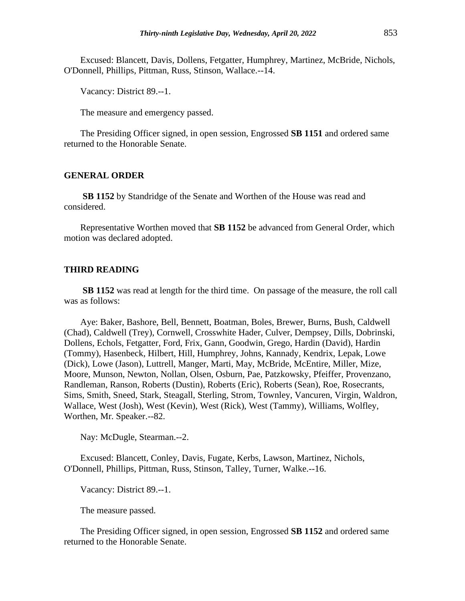Excused: Blancett, Davis, Dollens, Fetgatter, Humphrey, Martinez, McBride, Nichols, O'Donnell, Phillips, Pittman, Russ, Stinson, Wallace.--14.

Vacancy: District 89.--1.

The measure and emergency passed.

The Presiding Officer signed, in open session, Engrossed **SB 1151** and ordered same returned to the Honorable Senate.

# **GENERAL ORDER**

**SB 1152** by Standridge of the Senate and Worthen of the House was read and considered.

Representative Worthen moved that **SB 1152** be advanced from General Order, which motion was declared adopted.

#### **THIRD READING**

**SB 1152** was read at length for the third time. On passage of the measure, the roll call was as follows:

Aye: Baker, Bashore, Bell, Bennett, Boatman, Boles, Brewer, Burns, Bush, Caldwell (Chad), Caldwell (Trey), Cornwell, Crosswhite Hader, Culver, Dempsey, Dills, Dobrinski, Dollens, Echols, Fetgatter, Ford, Frix, Gann, Goodwin, Grego, Hardin (David), Hardin (Tommy), Hasenbeck, Hilbert, Hill, Humphrey, Johns, Kannady, Kendrix, Lepak, Lowe (Dick), Lowe (Jason), Luttrell, Manger, Marti, May, McBride, McEntire, Miller, Mize, Moore, Munson, Newton, Nollan, Olsen, Osburn, Pae, Patzkowsky, Pfeiffer, Provenzano, Randleman, Ranson, Roberts (Dustin), Roberts (Eric), Roberts (Sean), Roe, Rosecrants, Sims, Smith, Sneed, Stark, Steagall, Sterling, Strom, Townley, Vancuren, Virgin, Waldron, Wallace, West (Josh), West (Kevin), West (Rick), West (Tammy), Williams, Wolfley, Worthen, Mr. Speaker.--82.

Nay: McDugle, Stearman.--2.

Excused: Blancett, Conley, Davis, Fugate, Kerbs, Lawson, Martinez, Nichols, O'Donnell, Phillips, Pittman, Russ, Stinson, Talley, Turner, Walke.--16.

Vacancy: District 89.--1.

The measure passed.

The Presiding Officer signed, in open session, Engrossed **SB 1152** and ordered same returned to the Honorable Senate.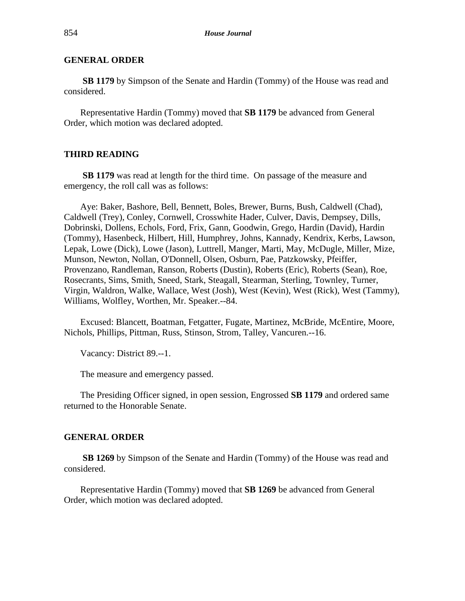# **GENERAL ORDER**

**SB 1179** by Simpson of the Senate and Hardin (Tommy) of the House was read and considered.

Representative Hardin (Tommy) moved that **SB 1179** be advanced from General Order, which motion was declared adopted.

# **THIRD READING**

**SB 1179** was read at length for the third time. On passage of the measure and emergency, the roll call was as follows:

Aye: Baker, Bashore, Bell, Bennett, Boles, Brewer, Burns, Bush, Caldwell (Chad), Caldwell (Trey), Conley, Cornwell, Crosswhite Hader, Culver, Davis, Dempsey, Dills, Dobrinski, Dollens, Echols, Ford, Frix, Gann, Goodwin, Grego, Hardin (David), Hardin (Tommy), Hasenbeck, Hilbert, Hill, Humphrey, Johns, Kannady, Kendrix, Kerbs, Lawson, Lepak, Lowe (Dick), Lowe (Jason), Luttrell, Manger, Marti, May, McDugle, Miller, Mize, Munson, Newton, Nollan, O'Donnell, Olsen, Osburn, Pae, Patzkowsky, Pfeiffer, Provenzano, Randleman, Ranson, Roberts (Dustin), Roberts (Eric), Roberts (Sean), Roe, Rosecrants, Sims, Smith, Sneed, Stark, Steagall, Stearman, Sterling, Townley, Turner, Virgin, Waldron, Walke, Wallace, West (Josh), West (Kevin), West (Rick), West (Tammy), Williams, Wolfley, Worthen, Mr. Speaker.--84.

Excused: Blancett, Boatman, Fetgatter, Fugate, Martinez, McBride, McEntire, Moore, Nichols, Phillips, Pittman, Russ, Stinson, Strom, Talley, Vancuren.--16.

Vacancy: District 89.--1.

The measure and emergency passed.

The Presiding Officer signed, in open session, Engrossed **SB 1179** and ordered same returned to the Honorable Senate.

#### **GENERAL ORDER**

**SB 1269** by Simpson of the Senate and Hardin (Tommy) of the House was read and considered.

Representative Hardin (Tommy) moved that **SB 1269** be advanced from General Order, which motion was declared adopted.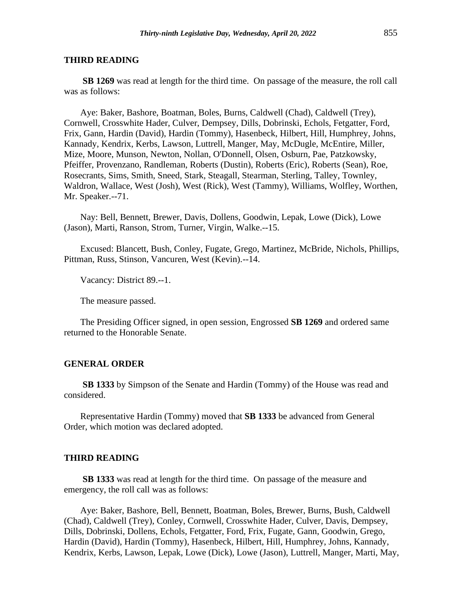**SB 1269** was read at length for the third time. On passage of the measure, the roll call was as follows:

Aye: Baker, Bashore, Boatman, Boles, Burns, Caldwell (Chad), Caldwell (Trey), Cornwell, Crosswhite Hader, Culver, Dempsey, Dills, Dobrinski, Echols, Fetgatter, Ford, Frix, Gann, Hardin (David), Hardin (Tommy), Hasenbeck, Hilbert, Hill, Humphrey, Johns, Kannady, Kendrix, Kerbs, Lawson, Luttrell, Manger, May, McDugle, McEntire, Miller, Mize, Moore, Munson, Newton, Nollan, O'Donnell, Olsen, Osburn, Pae, Patzkowsky, Pfeiffer, Provenzano, Randleman, Roberts (Dustin), Roberts (Eric), Roberts (Sean), Roe, Rosecrants, Sims, Smith, Sneed, Stark, Steagall, Stearman, Sterling, Talley, Townley, Waldron, Wallace, West (Josh), West (Rick), West (Tammy), Williams, Wolfley, Worthen, Mr. Speaker.--71.

Nay: Bell, Bennett, Brewer, Davis, Dollens, Goodwin, Lepak, Lowe (Dick), Lowe (Jason), Marti, Ranson, Strom, Turner, Virgin, Walke.--15.

Excused: Blancett, Bush, Conley, Fugate, Grego, Martinez, McBride, Nichols, Phillips, Pittman, Russ, Stinson, Vancuren, West (Kevin).--14.

Vacancy: District 89.--1.

The measure passed.

The Presiding Officer signed, in open session, Engrossed **SB 1269** and ordered same returned to the Honorable Senate.

# **GENERAL ORDER**

**SB 1333** by Simpson of the Senate and Hardin (Tommy) of the House was read and considered.

Representative Hardin (Tommy) moved that **SB 1333** be advanced from General Order, which motion was declared adopted.

#### **THIRD READING**

**SB 1333** was read at length for the third time. On passage of the measure and emergency, the roll call was as follows:

Aye: Baker, Bashore, Bell, Bennett, Boatman, Boles, Brewer, Burns, Bush, Caldwell (Chad), Caldwell (Trey), Conley, Cornwell, Crosswhite Hader, Culver, Davis, Dempsey, Dills, Dobrinski, Dollens, Echols, Fetgatter, Ford, Frix, Fugate, Gann, Goodwin, Grego, Hardin (David), Hardin (Tommy), Hasenbeck, Hilbert, Hill, Humphrey, Johns, Kannady, Kendrix, Kerbs, Lawson, Lepak, Lowe (Dick), Lowe (Jason), Luttrell, Manger, Marti, May,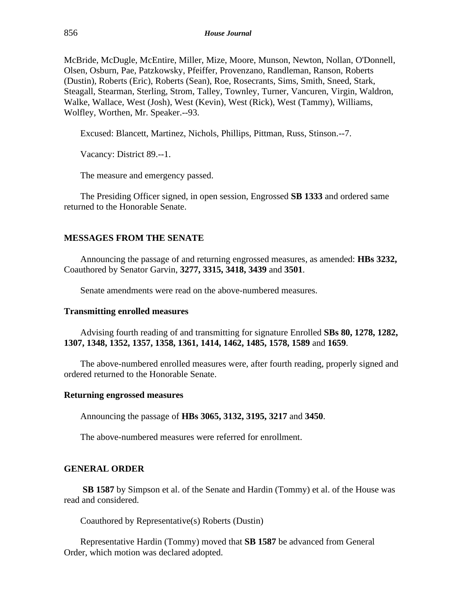McBride, McDugle, McEntire, Miller, Mize, Moore, Munson, Newton, Nollan, O'Donnell, Olsen, Osburn, Pae, Patzkowsky, Pfeiffer, Provenzano, Randleman, Ranson, Roberts (Dustin), Roberts (Eric), Roberts (Sean), Roe, Rosecrants, Sims, Smith, Sneed, Stark, Steagall, Stearman, Sterling, Strom, Talley, Townley, Turner, Vancuren, Virgin, Waldron, Walke, Wallace, West (Josh), West (Kevin), West (Rick), West (Tammy), Williams, Wolfley, Worthen, Mr. Speaker.--93.

Excused: Blancett, Martinez, Nichols, Phillips, Pittman, Russ, Stinson.--7.

Vacancy: District 89.--1.

The measure and emergency passed.

The Presiding Officer signed, in open session, Engrossed **SB 1333** and ordered same returned to the Honorable Senate.

# **MESSAGES FROM THE SENATE**

Announcing the passage of and returning engrossed measures, as amended: **HBs 3232,** Coauthored by Senator Garvin, **3277, 3315, 3418, 3439** and **3501**.

Senate amendments were read on the above-numbered measures.

#### **Transmitting enrolled measures**

Advising fourth reading of and transmitting for signature Enrolled **SBs 80, 1278, 1282, 1307, 1348, 1352, 1357, 1358, 1361, 1414, 1462, 1485, 1578, 1589** and **1659**.

The above-numbered enrolled measures were, after fourth reading, properly signed and ordered returned to the Honorable Senate.

#### **Returning engrossed measures**

Announcing the passage of **HBs 3065, 3132, 3195, 3217** and **3450**.

The above-numbered measures were referred for enrollment.

# **GENERAL ORDER**

**SB 1587** by Simpson et al. of the Senate and Hardin (Tommy) et al. of the House was read and considered.

Coauthored by Representative(s) Roberts (Dustin)

Representative Hardin (Tommy) moved that **SB 1587** be advanced from General Order, which motion was declared adopted.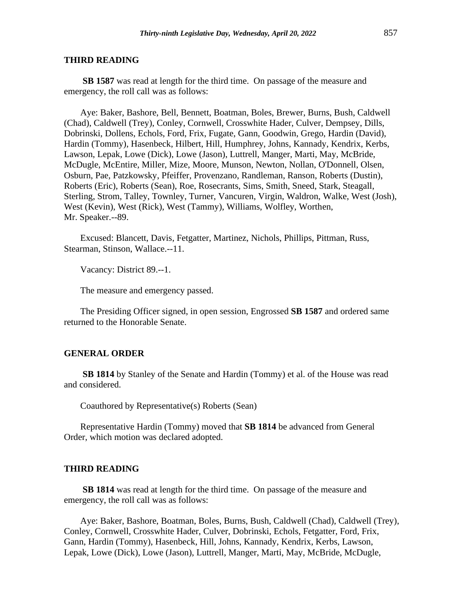**SB 1587** was read at length for the third time. On passage of the measure and emergency, the roll call was as follows:

Aye: Baker, Bashore, Bell, Bennett, Boatman, Boles, Brewer, Burns, Bush, Caldwell (Chad), Caldwell (Trey), Conley, Cornwell, Crosswhite Hader, Culver, Dempsey, Dills, Dobrinski, Dollens, Echols, Ford, Frix, Fugate, Gann, Goodwin, Grego, Hardin (David), Hardin (Tommy), Hasenbeck, Hilbert, Hill, Humphrey, Johns, Kannady, Kendrix, Kerbs, Lawson, Lepak, Lowe (Dick), Lowe (Jason), Luttrell, Manger, Marti, May, McBride, McDugle, McEntire, Miller, Mize, Moore, Munson, Newton, Nollan, O'Donnell, Olsen, Osburn, Pae, Patzkowsky, Pfeiffer, Provenzano, Randleman, Ranson, Roberts (Dustin), Roberts (Eric), Roberts (Sean), Roe, Rosecrants, Sims, Smith, Sneed, Stark, Steagall, Sterling, Strom, Talley, Townley, Turner, Vancuren, Virgin, Waldron, Walke, West (Josh), West (Kevin), West (Rick), West (Tammy), Williams, Wolfley, Worthen, Mr. Speaker.--89.

Excused: Blancett, Davis, Fetgatter, Martinez, Nichols, Phillips, Pittman, Russ, Stearman, Stinson, Wallace.--11.

Vacancy: District 89.--1.

The measure and emergency passed.

The Presiding Officer signed, in open session, Engrossed **SB 1587** and ordered same returned to the Honorable Senate.

#### **GENERAL ORDER**

**SB 1814** by Stanley of the Senate and Hardin (Tommy) et al. of the House was read and considered.

Coauthored by Representative(s) Roberts (Sean)

Representative Hardin (Tommy) moved that **SB 1814** be advanced from General Order, which motion was declared adopted.

## **THIRD READING**

**SB 1814** was read at length for the third time. On passage of the measure and emergency, the roll call was as follows:

Aye: Baker, Bashore, Boatman, Boles, Burns, Bush, Caldwell (Chad), Caldwell (Trey), Conley, Cornwell, Crosswhite Hader, Culver, Dobrinski, Echols, Fetgatter, Ford, Frix, Gann, Hardin (Tommy), Hasenbeck, Hill, Johns, Kannady, Kendrix, Kerbs, Lawson, Lepak, Lowe (Dick), Lowe (Jason), Luttrell, Manger, Marti, May, McBride, McDugle,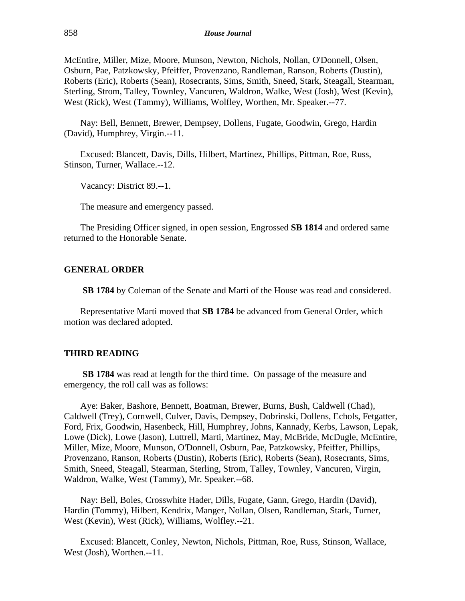McEntire, Miller, Mize, Moore, Munson, Newton, Nichols, Nollan, O'Donnell, Olsen, Osburn, Pae, Patzkowsky, Pfeiffer, Provenzano, Randleman, Ranson, Roberts (Dustin), Roberts (Eric), Roberts (Sean), Rosecrants, Sims, Smith, Sneed, Stark, Steagall, Stearman, Sterling, Strom, Talley, Townley, Vancuren, Waldron, Walke, West (Josh), West (Kevin), West (Rick), West (Tammy), Williams, Wolfley, Worthen, Mr. Speaker.--77.

Nay: Bell, Bennett, Brewer, Dempsey, Dollens, Fugate, Goodwin, Grego, Hardin (David), Humphrey, Virgin.--11.

Excused: Blancett, Davis, Dills, Hilbert, Martinez, Phillips, Pittman, Roe, Russ, Stinson, Turner, Wallace.--12.

Vacancy: District 89.--1.

The measure and emergency passed.

The Presiding Officer signed, in open session, Engrossed **SB 1814** and ordered same returned to the Honorable Senate.

# **GENERAL ORDER**

**SB 1784** by Coleman of the Senate and Marti of the House was read and considered.

Representative Marti moved that **SB 1784** be advanced from General Order, which motion was declared adopted.

#### **THIRD READING**

**SB 1784** was read at length for the third time. On passage of the measure and emergency, the roll call was as follows:

Aye: Baker, Bashore, Bennett, Boatman, Brewer, Burns, Bush, Caldwell (Chad), Caldwell (Trey), Cornwell, Culver, Davis, Dempsey, Dobrinski, Dollens, Echols, Fetgatter, Ford, Frix, Goodwin, Hasenbeck, Hill, Humphrey, Johns, Kannady, Kerbs, Lawson, Lepak, Lowe (Dick), Lowe (Jason), Luttrell, Marti, Martinez, May, McBride, McDugle, McEntire, Miller, Mize, Moore, Munson, O'Donnell, Osburn, Pae, Patzkowsky, Pfeiffer, Phillips, Provenzano, Ranson, Roberts (Dustin), Roberts (Eric), Roberts (Sean), Rosecrants, Sims, Smith, Sneed, Steagall, Stearman, Sterling, Strom, Talley, Townley, Vancuren, Virgin, Waldron, Walke, West (Tammy), Mr. Speaker.--68.

Nay: Bell, Boles, Crosswhite Hader, Dills, Fugate, Gann, Grego, Hardin (David), Hardin (Tommy), Hilbert, Kendrix, Manger, Nollan, Olsen, Randleman, Stark, Turner, West (Kevin), West (Rick), Williams, Wolfley.--21.

Excused: Blancett, Conley, Newton, Nichols, Pittman, Roe, Russ, Stinson, Wallace, West (Josh), Worthen.--11.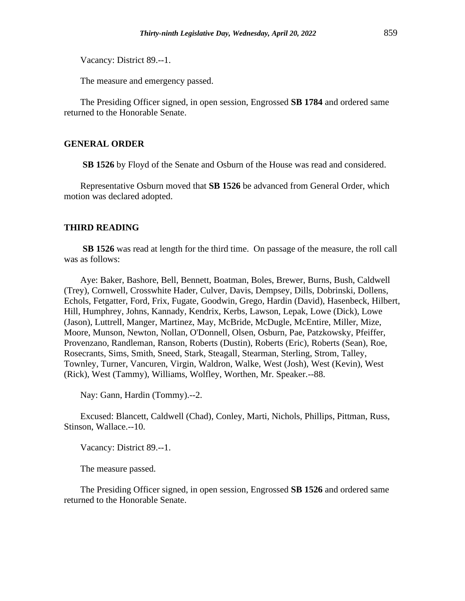Vacancy: District 89.--1.

The measure and emergency passed.

The Presiding Officer signed, in open session, Engrossed **SB 1784** and ordered same returned to the Honorable Senate.

#### **GENERAL ORDER**

**SB 1526** by Floyd of the Senate and Osburn of the House was read and considered.

Representative Osburn moved that **SB 1526** be advanced from General Order, which motion was declared adopted.

# **THIRD READING**

**SB 1526** was read at length for the third time. On passage of the measure, the roll call was as follows:

Aye: Baker, Bashore, Bell, Bennett, Boatman, Boles, Brewer, Burns, Bush, Caldwell (Trey), Cornwell, Crosswhite Hader, Culver, Davis, Dempsey, Dills, Dobrinski, Dollens, Echols, Fetgatter, Ford, Frix, Fugate, Goodwin, Grego, Hardin (David), Hasenbeck, Hilbert, Hill, Humphrey, Johns, Kannady, Kendrix, Kerbs, Lawson, Lepak, Lowe (Dick), Lowe (Jason), Luttrell, Manger, Martinez, May, McBride, McDugle, McEntire, Miller, Mize, Moore, Munson, Newton, Nollan, O'Donnell, Olsen, Osburn, Pae, Patzkowsky, Pfeiffer, Provenzano, Randleman, Ranson, Roberts (Dustin), Roberts (Eric), Roberts (Sean), Roe, Rosecrants, Sims, Smith, Sneed, Stark, Steagall, Stearman, Sterling, Strom, Talley, Townley, Turner, Vancuren, Virgin, Waldron, Walke, West (Josh), West (Kevin), West (Rick), West (Tammy), Williams, Wolfley, Worthen, Mr. Speaker.--88.

Nay: Gann, Hardin (Tommy).--2.

Excused: Blancett, Caldwell (Chad), Conley, Marti, Nichols, Phillips, Pittman, Russ, Stinson, Wallace.--10.

Vacancy: District 89.--1.

The measure passed.

The Presiding Officer signed, in open session, Engrossed **SB 1526** and ordered same returned to the Honorable Senate.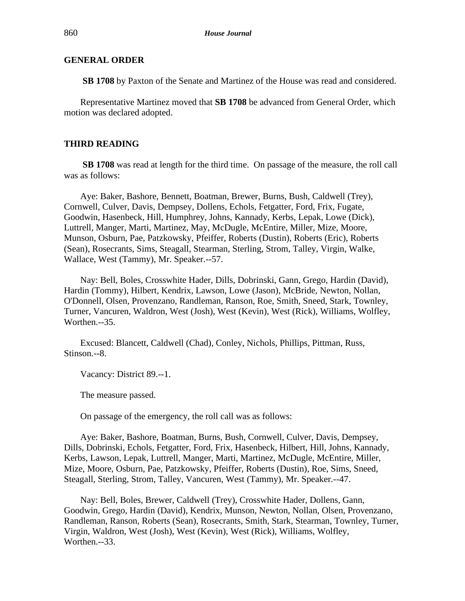# **GENERAL ORDER**

**SB 1708** by Paxton of the Senate and Martinez of the House was read and considered.

Representative Martinez moved that **SB 1708** be advanced from General Order, which motion was declared adopted.

# **THIRD READING**

**SB 1708** was read at length for the third time. On passage of the measure, the roll call was as follows:

Aye: Baker, Bashore, Bennett, Boatman, Brewer, Burns, Bush, Caldwell (Trey), Cornwell, Culver, Davis, Dempsey, Dollens, Echols, Fetgatter, Ford, Frix, Fugate, Goodwin, Hasenbeck, Hill, Humphrey, Johns, Kannady, Kerbs, Lepak, Lowe (Dick), Luttrell, Manger, Marti, Martinez, May, McDugle, McEntire, Miller, Mize, Moore, Munson, Osburn, Pae, Patzkowsky, Pfeiffer, Roberts (Dustin), Roberts (Eric), Roberts (Sean), Rosecrants, Sims, Steagall, Stearman, Sterling, Strom, Talley, Virgin, Walke, Wallace, West (Tammy), Mr. Speaker.--57.

Nay: Bell, Boles, Crosswhite Hader, Dills, Dobrinski, Gann, Grego, Hardin (David), Hardin (Tommy), Hilbert, Kendrix, Lawson, Lowe (Jason), McBride, Newton, Nollan, O'Donnell, Olsen, Provenzano, Randleman, Ranson, Roe, Smith, Sneed, Stark, Townley, Turner, Vancuren, Waldron, West (Josh), West (Kevin), West (Rick), Williams, Wolfley, Worthen.--35.

Excused: Blancett, Caldwell (Chad), Conley, Nichols, Phillips, Pittman, Russ, Stinson.--8.

Vacancy: District 89.--1.

The measure passed.

On passage of the emergency, the roll call was as follows:

Aye: Baker, Bashore, Boatman, Burns, Bush, Cornwell, Culver, Davis, Dempsey, Dills, Dobrinski, Echols, Fetgatter, Ford, Frix, Hasenbeck, Hilbert, Hill, Johns, Kannady, Kerbs, Lawson, Lepak, Luttrell, Manger, Marti, Martinez, McDugle, McEntire, Miller, Mize, Moore, Osburn, Pae, Patzkowsky, Pfeiffer, Roberts (Dustin), Roe, Sims, Sneed, Steagall, Sterling, Strom, Talley, Vancuren, West (Tammy), Mr. Speaker.--47.

Nay: Bell, Boles, Brewer, Caldwell (Trey), Crosswhite Hader, Dollens, Gann, Goodwin, Grego, Hardin (David), Kendrix, Munson, Newton, Nollan, Olsen, Provenzano, Randleman, Ranson, Roberts (Sean), Rosecrants, Smith, Stark, Stearman, Townley, Turner, Virgin, Waldron, West (Josh), West (Kevin), West (Rick), Williams, Wolfley, Worthen.--33.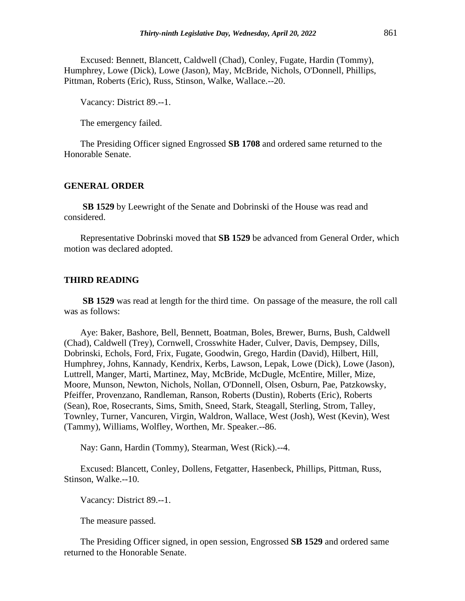Excused: Bennett, Blancett, Caldwell (Chad), Conley, Fugate, Hardin (Tommy), Humphrey, Lowe (Dick), Lowe (Jason), May, McBride, Nichols, O'Donnell, Phillips, Pittman, Roberts (Eric), Russ, Stinson, Walke, Wallace.--20.

Vacancy: District 89.--1.

The emergency failed.

The Presiding Officer signed Engrossed **SB 1708** and ordered same returned to the Honorable Senate.

#### **GENERAL ORDER**

**SB 1529** by Leewright of the Senate and Dobrinski of the House was read and considered.

Representative Dobrinski moved that **SB 1529** be advanced from General Order, which motion was declared adopted.

# **THIRD READING**

**SB 1529** was read at length for the third time. On passage of the measure, the roll call was as follows:

Aye: Baker, Bashore, Bell, Bennett, Boatman, Boles, Brewer, Burns, Bush, Caldwell (Chad), Caldwell (Trey), Cornwell, Crosswhite Hader, Culver, Davis, Dempsey, Dills, Dobrinski, Echols, Ford, Frix, Fugate, Goodwin, Grego, Hardin (David), Hilbert, Hill, Humphrey, Johns, Kannady, Kendrix, Kerbs, Lawson, Lepak, Lowe (Dick), Lowe (Jason), Luttrell, Manger, Marti, Martinez, May, McBride, McDugle, McEntire, Miller, Mize, Moore, Munson, Newton, Nichols, Nollan, O'Donnell, Olsen, Osburn, Pae, Patzkowsky, Pfeiffer, Provenzano, Randleman, Ranson, Roberts (Dustin), Roberts (Eric), Roberts (Sean), Roe, Rosecrants, Sims, Smith, Sneed, Stark, Steagall, Sterling, Strom, Talley, Townley, Turner, Vancuren, Virgin, Waldron, Wallace, West (Josh), West (Kevin), West (Tammy), Williams, Wolfley, Worthen, Mr. Speaker.--86.

Nay: Gann, Hardin (Tommy), Stearman, West (Rick).--4.

Excused: Blancett, Conley, Dollens, Fetgatter, Hasenbeck, Phillips, Pittman, Russ, Stinson, Walke.--10.

Vacancy: District 89.--1.

The measure passed.

The Presiding Officer signed, in open session, Engrossed **SB 1529** and ordered same returned to the Honorable Senate.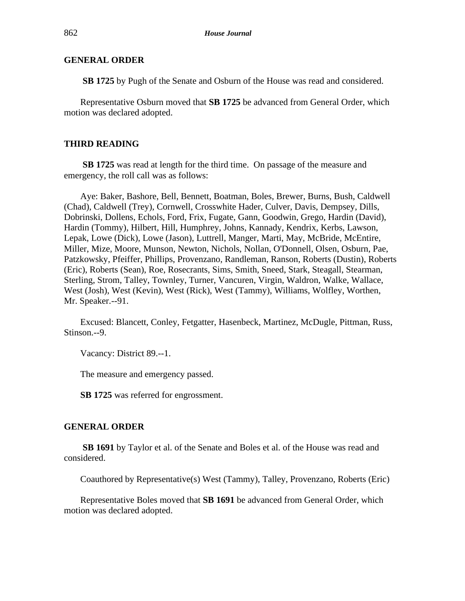# **GENERAL ORDER**

**SB 1725** by Pugh of the Senate and Osburn of the House was read and considered.

Representative Osburn moved that **SB 1725** be advanced from General Order, which motion was declared adopted.

# **THIRD READING**

**SB 1725** was read at length for the third time. On passage of the measure and emergency, the roll call was as follows:

Aye: Baker, Bashore, Bell, Bennett, Boatman, Boles, Brewer, Burns, Bush, Caldwell (Chad), Caldwell (Trey), Cornwell, Crosswhite Hader, Culver, Davis, Dempsey, Dills, Dobrinski, Dollens, Echols, Ford, Frix, Fugate, Gann, Goodwin, Grego, Hardin (David), Hardin (Tommy), Hilbert, Hill, Humphrey, Johns, Kannady, Kendrix, Kerbs, Lawson, Lepak, Lowe (Dick), Lowe (Jason), Luttrell, Manger, Marti, May, McBride, McEntire, Miller, Mize, Moore, Munson, Newton, Nichols, Nollan, O'Donnell, Olsen, Osburn, Pae, Patzkowsky, Pfeiffer, Phillips, Provenzano, Randleman, Ranson, Roberts (Dustin), Roberts (Eric), Roberts (Sean), Roe, Rosecrants, Sims, Smith, Sneed, Stark, Steagall, Stearman, Sterling, Strom, Talley, Townley, Turner, Vancuren, Virgin, Waldron, Walke, Wallace, West (Josh), West (Kevin), West (Rick), West (Tammy), Williams, Wolfley, Worthen, Mr. Speaker.--91.

Excused: Blancett, Conley, Fetgatter, Hasenbeck, Martinez, McDugle, Pittman, Russ, Stinson.--9.

Vacancy: District 89.--1.

The measure and emergency passed.

**SB 1725** was referred for engrossment.

# **GENERAL ORDER**

**SB 1691** by Taylor et al. of the Senate and Boles et al. of the House was read and considered.

Coauthored by Representative(s) West (Tammy), Talley, Provenzano, Roberts (Eric)

Representative Boles moved that **SB 1691** be advanced from General Order, which motion was declared adopted.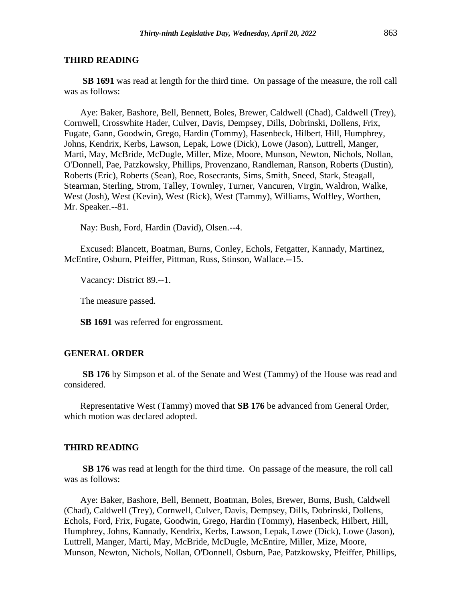**SB 1691** was read at length for the third time. On passage of the measure, the roll call was as follows:

Aye: Baker, Bashore, Bell, Bennett, Boles, Brewer, Caldwell (Chad), Caldwell (Trey), Cornwell, Crosswhite Hader, Culver, Davis, Dempsey, Dills, Dobrinski, Dollens, Frix, Fugate, Gann, Goodwin, Grego, Hardin (Tommy), Hasenbeck, Hilbert, Hill, Humphrey, Johns, Kendrix, Kerbs, Lawson, Lepak, Lowe (Dick), Lowe (Jason), Luttrell, Manger, Marti, May, McBride, McDugle, Miller, Mize, Moore, Munson, Newton, Nichols, Nollan, O'Donnell, Pae, Patzkowsky, Phillips, Provenzano, Randleman, Ranson, Roberts (Dustin), Roberts (Eric), Roberts (Sean), Roe, Rosecrants, Sims, Smith, Sneed, Stark, Steagall, Stearman, Sterling, Strom, Talley, Townley, Turner, Vancuren, Virgin, Waldron, Walke, West (Josh), West (Kevin), West (Rick), West (Tammy), Williams, Wolfley, Worthen, Mr. Speaker.--81.

Nay: Bush, Ford, Hardin (David), Olsen.--4.

Excused: Blancett, Boatman, Burns, Conley, Echols, Fetgatter, Kannady, Martinez, McEntire, Osburn, Pfeiffer, Pittman, Russ, Stinson, Wallace.--15.

Vacancy: District 89.--1.

The measure passed.

**SB 1691** was referred for engrossment.

#### **GENERAL ORDER**

**SB 176** by Simpson et al. of the Senate and West (Tammy) of the House was read and considered.

Representative West (Tammy) moved that **SB 176** be advanced from General Order, which motion was declared adopted.

#### **THIRD READING**

**SB 176** was read at length for the third time. On passage of the measure, the roll call was as follows:

Aye: Baker, Bashore, Bell, Bennett, Boatman, Boles, Brewer, Burns, Bush, Caldwell (Chad), Caldwell (Trey), Cornwell, Culver, Davis, Dempsey, Dills, Dobrinski, Dollens, Echols, Ford, Frix, Fugate, Goodwin, Grego, Hardin (Tommy), Hasenbeck, Hilbert, Hill, Humphrey, Johns, Kannady, Kendrix, Kerbs, Lawson, Lepak, Lowe (Dick), Lowe (Jason), Luttrell, Manger, Marti, May, McBride, McDugle, McEntire, Miller, Mize, Moore, Munson, Newton, Nichols, Nollan, O'Donnell, Osburn, Pae, Patzkowsky, Pfeiffer, Phillips,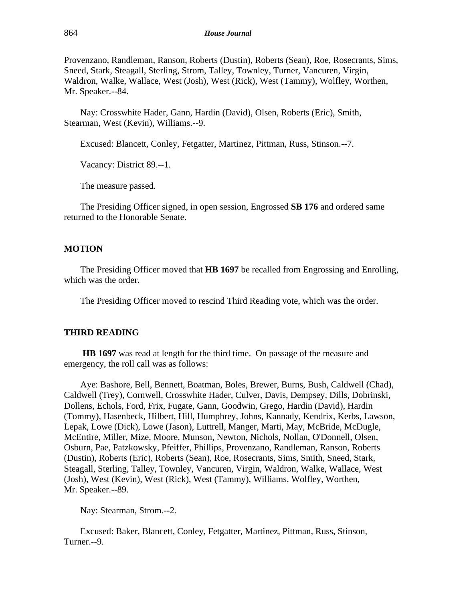Provenzano, Randleman, Ranson, Roberts (Dustin), Roberts (Sean), Roe, Rosecrants, Sims, Sneed, Stark, Steagall, Sterling, Strom, Talley, Townley, Turner, Vancuren, Virgin, Waldron, Walke, Wallace, West (Josh), West (Rick), West (Tammy), Wolfley, Worthen, Mr. Speaker.--84.

Nay: Crosswhite Hader, Gann, Hardin (David), Olsen, Roberts (Eric), Smith, Stearman, West (Kevin), Williams.--9.

Excused: Blancett, Conley, Fetgatter, Martinez, Pittman, Russ, Stinson.--7.

Vacancy: District 89.--1.

The measure passed.

The Presiding Officer signed, in open session, Engrossed **SB 176** and ordered same returned to the Honorable Senate.

# **MOTION**

The Presiding Officer moved that **HB 1697** be recalled from Engrossing and Enrolling, which was the order.

The Presiding Officer moved to rescind Third Reading vote, which was the order.

# **THIRD READING**

**HB 1697** was read at length for the third time. On passage of the measure and emergency, the roll call was as follows:

Aye: Bashore, Bell, Bennett, Boatman, Boles, Brewer, Burns, Bush, Caldwell (Chad), Caldwell (Trey), Cornwell, Crosswhite Hader, Culver, Davis, Dempsey, Dills, Dobrinski, Dollens, Echols, Ford, Frix, Fugate, Gann, Goodwin, Grego, Hardin (David), Hardin (Tommy), Hasenbeck, Hilbert, Hill, Humphrey, Johns, Kannady, Kendrix, Kerbs, Lawson, Lepak, Lowe (Dick), Lowe (Jason), Luttrell, Manger, Marti, May, McBride, McDugle, McEntire, Miller, Mize, Moore, Munson, Newton, Nichols, Nollan, O'Donnell, Olsen, Osburn, Pae, Patzkowsky, Pfeiffer, Phillips, Provenzano, Randleman, Ranson, Roberts (Dustin), Roberts (Eric), Roberts (Sean), Roe, Rosecrants, Sims, Smith, Sneed, Stark, Steagall, Sterling, Talley, Townley, Vancuren, Virgin, Waldron, Walke, Wallace, West (Josh), West (Kevin), West (Rick), West (Tammy), Williams, Wolfley, Worthen, Mr. Speaker.--89.

Nay: Stearman, Strom.--2.

Excused: Baker, Blancett, Conley, Fetgatter, Martinez, Pittman, Russ, Stinson, Turner.--9.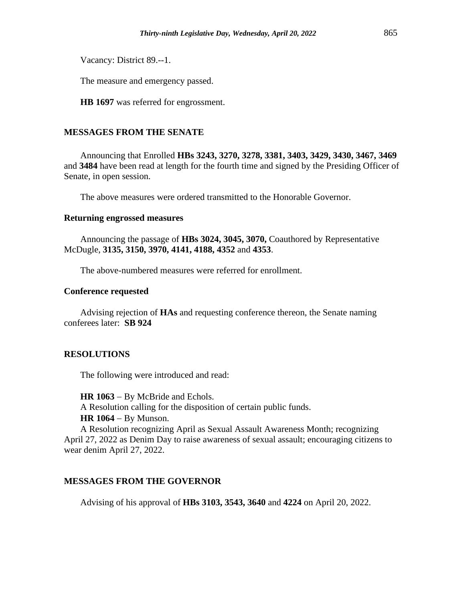Vacancy: District 89.--1.

The measure and emergency passed.

**HB 1697** was referred for engrossment.

# **MESSAGES FROM THE SENATE**

Announcing that Enrolled **HBs 3243, 3270, 3278, 3381, 3403, 3429, 3430, 3467, 3469** and **3484** have been read at length for the fourth time and signed by the Presiding Officer of Senate, in open session.

The above measures were ordered transmitted to the Honorable Governor.

# **Returning engrossed measures**

Announcing the passage of **HBs 3024, 3045, 3070,** Coauthored by Representative McDugle, **3135, 3150, 3970, 4141, 4188, 4352** and **4353**.

The above-numbered measures were referred for enrollment.

# **Conference requested**

Advising rejection of **HAs** and requesting conference thereon, the Senate naming conferees later: **SB 924**

# **RESOLUTIONS**

The following were introduced and read:

**HR 1063** − By McBride and Echols. A Resolution calling for the disposition of certain public funds. **HR 1064** − By Munson.

A Resolution recognizing April as Sexual Assault Awareness Month; recognizing April 27, 2022 as Denim Day to raise awareness of sexual assault; encouraging citizens to wear denim April 27, 2022.

# **MESSAGES FROM THE GOVERNOR**

Advising of his approval of **HBs 3103, 3543, 3640** and **4224** on April 20, 2022.